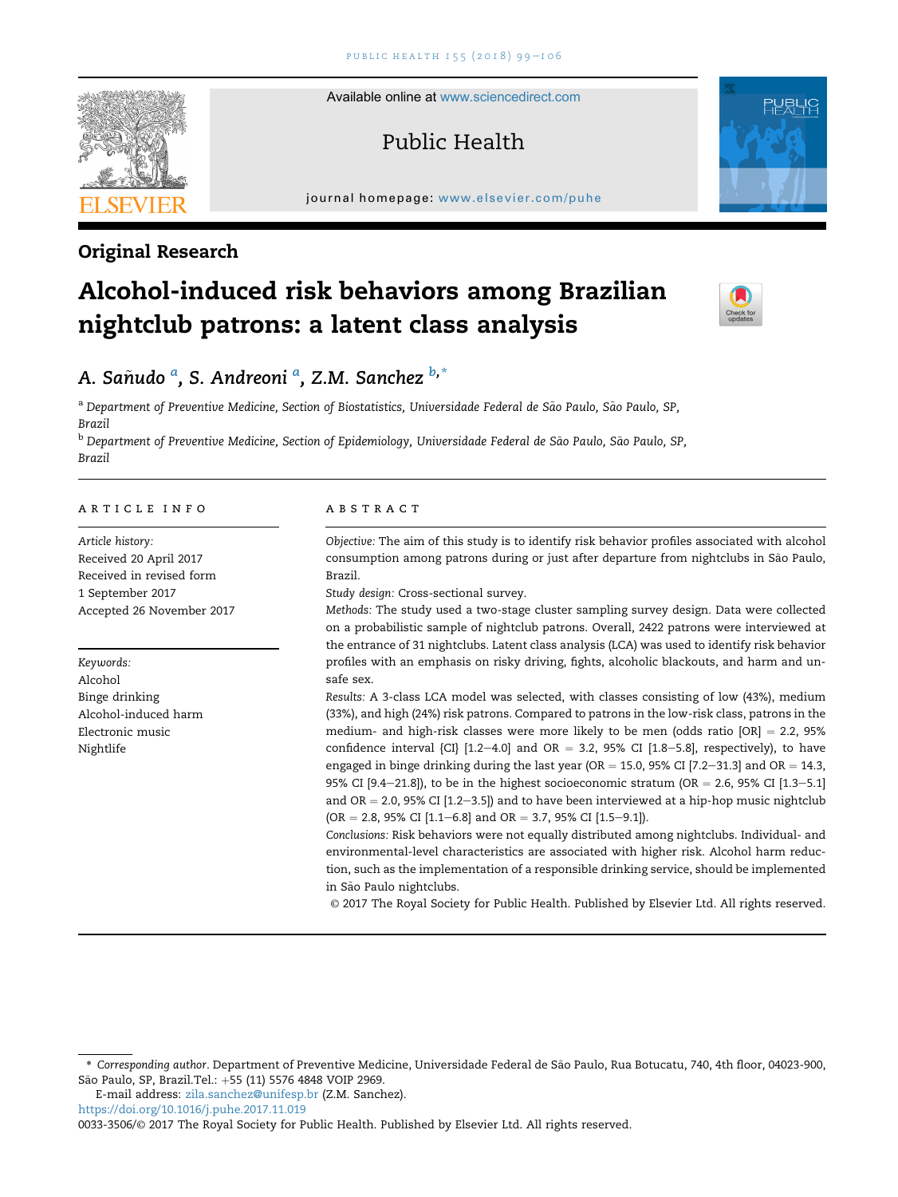Available online at [www.sciencedirect.com](www.sciencedirect.com/science/journal/00333506)

# Public Health

journal homepage: <www.elsevier.com/puhe>



# Original Research

# Alcohol-induced risk behaviors among Brazilian nightclub patrons: a latent class analysis



# A. Sañudo <sup>a</sup>, S. Andreoni <sup>a</sup>, Z.M. Sanchez <sup>b,\*</sup>

<sup>a</sup> Department of Preventive Medicine, Section of Biostatistics, Universidade Federal de São Paulo, São Paulo, SP, Brazil

<sup>b</sup> Department of Preventive Medicine, Section of Epidemiology, Universidade Federal de São Paulo, São Paulo, SP, Brazil

# article info

Article history: Received 20 April 2017 Received in revised form 1 September 2017 Accepted 26 November 2017

Keywords: Alcohol Binge drinking Alcohol-induced harm Electronic music Nightlife

# abstract

Objective: The aim of this study is to identify risk behavior profiles associated with alcohol consumption among patrons during or just after departure from nightclubs in Sao Paulo, ~ Brazil.

Study design: Cross-sectional survey.

Methods: The study used a two-stage cluster sampling survey design. Data were collected on a probabilistic sample of nightclub patrons. Overall, 2422 patrons were interviewed at the entrance of 31 nightclubs. Latent class analysis (LCA) was used to identify risk behavior profiles with an emphasis on risky driving, fights, alcoholic blackouts, and harm and unsafe sex.

Results: A 3-class LCA model was selected, with classes consisting of low (43%), medium (33%), and high (24%) risk patrons. Compared to patrons in the low-risk class, patrons in the medium- and high-risk classes were more likely to be men (odds ratio  $[OR] = 2.2$ , 95% confidence interval {CI} [1.2-4.0] and OR = 3.2, 95% CI [1.8-5.8], respectively), to have engaged in binge drinking during the last year (OR = 15.0, 95% CI [7.2-31.3] and OR = 14.3, 95% CI  $[9.4-21.8]$ , to be in the highest socioeconomic stratum (OR = 2.6, 95% CI  $[1.3-5.1]$ ) and OR  $= 2.0$ , 95% CI  $[1.2-3.5]$ ) and to have been interviewed at a hip-hop music nightclub  $(OR = 2.8, 95\% \text{ CI } [1.1-6.8] \text{ and } OR = 3.7, 95\% \text{ CI } [1.5-9.1]).$ 

Conclusions: Risk behaviors were not equally distributed among nightclubs. Individual- and environmental-level characteristics are associated with higher risk. Alcohol harm reduction, such as the implementation of a responsible drinking service, should be implemented in São Paulo nightclubs.

© 2017 The Royal Society for Public Health. Published by Elsevier Ltd. All rights reserved.

E-mail address: [zila.sanchez@unifesp.br](mailto:zila.sanchez@unifesp.br) (Z.M. Sanchez).

<https://doi.org/10.1016/j.puhe.2017.11.019>

0033-3506/© 2017 The Royal Society for Public Health. Published by Elsevier Ltd. All rights reserved.

<sup>\*</sup> Corresponding author. Department of Preventive Medicine, Universidade Federal de Sao Paulo, Rua Botucatu, 740, 4th floor, 04023-900, ~ São Paulo, SP, Brazil.Tel.: +55 (11) 5576 4848 VOIP 2969.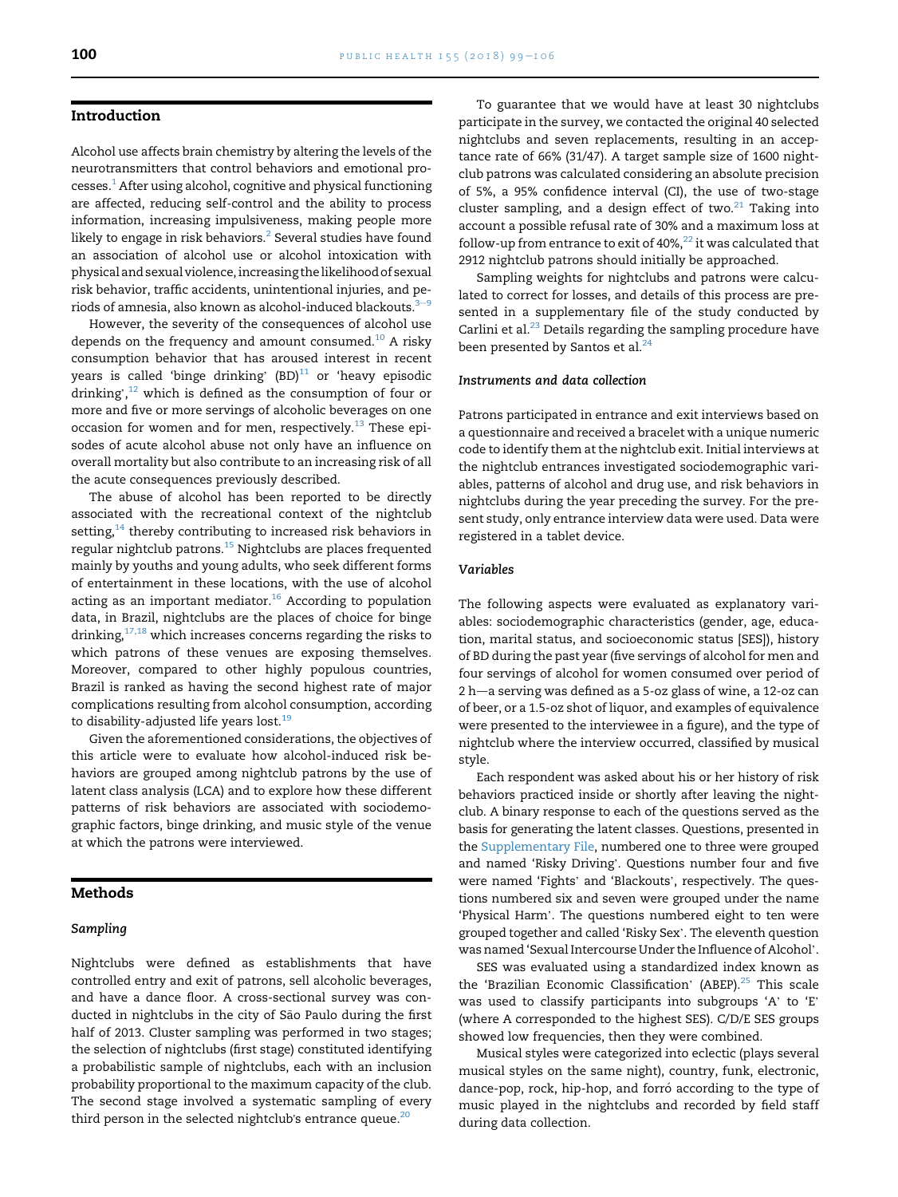# Introduction

Alcohol use affects brain chemistry by altering the levels of the neurotransmitters that control behaviors and emotional processes.<sup>1</sup> After using alcohol, cognitive and physical functioning are affected, reducing self-control and the ability to process information, increasing impulsiveness, making people more likely to engage in risk behaviors.<sup>2</sup> Several studies have found an association of alcohol use or alcohol intoxication with physical and sexual violence, increasing the likelihood of sexual risk behavior, traffic accidents, unintentional injuries, and periods of amnesia, also known as alcohol-induced blackouts. $3-9$  $3-9$ 

However, the severity of the consequences of alcohol use depends on the frequency and amount consumed. $10$  A risky consumption behavior that has aroused interest in recent en all the drawing is consumption behavior that has aroused interest in recent<br>years is called 'binge drinking' (BD)<sup>11</sup> or 'heavy episodic years is<br>drinking', drinking', $12$  which is defined as the consumption of four or more and five or more servings of alcoholic beverages on one occasion for women and for men, respectively. $^{13}$  $^{13}$  $^{13}$  These episodes of acute alcohol abuse not only have an influence on overall mortality but also contribute to an increasing risk of all the acute consequences previously described.

The abuse of alcohol has been reported to be directly associated with the recreational context of the nightclub setting, $14$  thereby contributing to increased risk behaviors in regular nightclub patrons.<sup>[15](#page-6-0)</sup> Nightclubs are places frequented mainly by youths and young adults, who seek different forms of entertainment in these locations, with the use of alcohol acting as an important mediator. $16$  According to population data, in Brazil, nightclubs are the places of choice for binge drinking,<sup>[17,18](#page-6-0)</sup> which increases concerns regarding the risks to which patrons of these venues are exposing themselves. Moreover, compared to other highly populous countries, Brazil is ranked as having the second highest rate of major complications resulting from alcohol consumption, according to disability-adjusted life years lost.<sup>[19](#page-6-0)</sup>

Given the aforementioned considerations, the objectives of this article were to evaluate how alcohol-induced risk behaviors are grouped among nightclub patrons by the use of latent class analysis (LCA) and to explore how these different patterns of risk behaviors are associated with sociodemographic factors, binge drinking, and music style of the venue at which the patrons were interviewed.

## Methods

#### Sampling

Nightclubs were defined as establishments that have controlled entry and exit of patrons, sell alcoholic beverages, and have a dance floor. A cross-sectional survey was conducted in nightclubs in the city of São Paulo during the first half of 2013. Cluster sampling was performed in two stages; the selection of nightclubs (first stage) constituted identifying a probabilistic sample of nightclubs, each with an inclusion probability proportional to the maximum capacity of the club. The second stage involved a systematic sampling of every third person in the selected nightclub's entrance queue.<sup>20</sup>

To guarantee that we would have at least 30 nightclubs participate in the survey, we contacted the original 40 selected nightclubs and seven replacements, resulting in an acceptance rate of 66% (31/47). A target sample size of 1600 nightclub patrons was calculated considering an absolute precision of 5%, a 95% confidence interval (CI), the use of two-stage cluster sampling, and a design effect of two. $21$  Taking into account a possible refusal rate of 30% and a maximum loss at follow-up from entrance to exit of  $40\%$ <sup>22</sup> it was calculated that 2912 nightclub patrons should initially be approached.

Sampling weights for nightclubs and patrons were calculated to correct for losses, and details of this process are presented in a supplementary file of the study conducted by Carlini et al.<sup>[23](#page-6-0)</sup> Details regarding the sampling procedure have been presented by Santos et al.<sup>[24](#page-6-0)</sup>

# Instruments and data collection

Patrons participated in entrance and exit interviews based on a questionnaire and received a bracelet with a unique numeric code to identify them at the nightclub exit. Initial interviews at the nightclub entrances investigated sociodemographic variables, patterns of alcohol and drug use, and risk behaviors in nightclubs during the year preceding the survey. For the present study, only entrance interview data were used. Data were registered in a tablet device.

## Variables

The following aspects were evaluated as explanatory variables: sociodemographic characteristics (gender, age, education, marital status, and socioeconomic status [SES]), history of BD during the past year (five servings of alcohol for men and four servings of alcohol for women consumed over period of  $2 h$ —a serving was defined as a 5-oz glass of wine, a 12-oz can of beer, or a 1.5-oz shot of liquor, and examples of equivalence were presented to the interviewee in a figure), and the type of nightclub where the interview occurred, classified by musical style.

Each respondent was asked about his or her history of risk behaviors practiced inside or shortly after leaving the nightclub. A binary response to each of the questions served as the basis for generating the latent classes. Questions, presented in the Supplementary File, numbered one to three were grouped the Supplementary File, numbered one to three were grouped<br>and named 'Risky Driving'. Questions number four and five and named 'Risky Driving'. Questions number four and five<br>were named 'Fights' and 'Blackouts', respectively. The questions numbered six and seven were grouped under the name 'Physical Harm'. The questions numbered eight to ten were 'Physical Harm'. The questions numbered eight to ten were<br>grouped together and called 'Risky Sex'. The eleventh question was named 'Sexual Intercourse Under the Influence of Alcohol'.

SES was evaluated using a standardized index known as the 'Brazilian Economic Classification' (ABEP).<sup>25</sup> This scale was used to classify participants into subgroups 'A' to 'E' (where A corresponded to the highest SES). C/D/E SES groups showed low frequencies, then they were combined.

Musical styles were categorized into eclectic (plays several musical styles on the same night), country, funk, electronic, dance-pop, rock, hip-hop, and forró according to the type of music played in the nightclubs and recorded by field staff during data collection.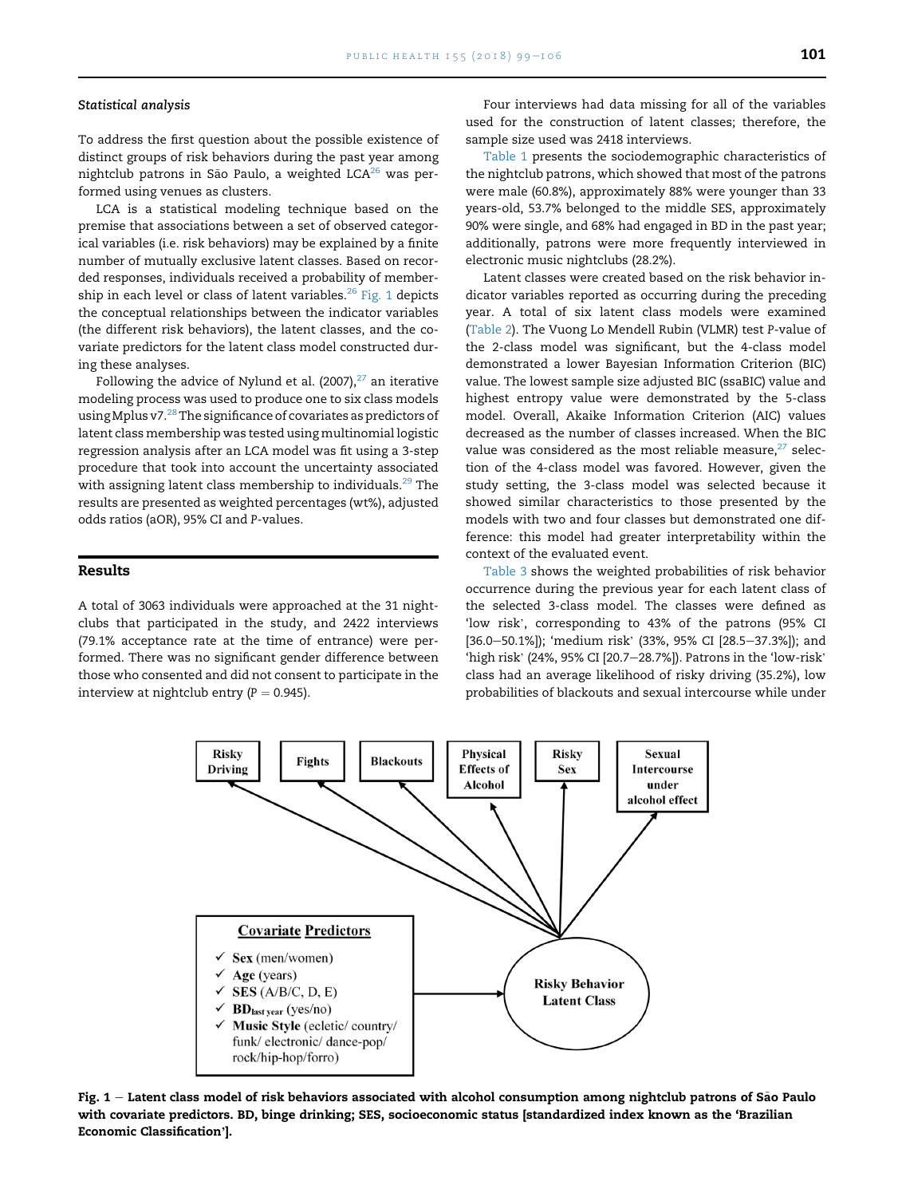#### Statistical analysis

To address the first question about the possible existence of distinct groups of risk behaviors during the past year among nightclub patrons in São Paulo, a weighted  $LCA^{26}$  $LCA^{26}$  $LCA^{26}$  was performed using venues as clusters.

LCA is a statistical modeling technique based on the premise that associations between a set of observed categorical variables (i.e. risk behaviors) may be explained by a finite number of mutually exclusive latent classes. Based on recorded responses, individuals received a probability of membership in each level or class of latent variables.<sup>26</sup> Fig. 1 depicts the conceptual relationships between the indicator variables (the different risk behaviors), the latent classes, and the covariate predictors for the latent class model constructed during these analyses.

Following the advice of Nylund et al. (2007), $27$  an iterative modeling process was used to produce one to six class models using Mplus v7.<sup>[28](#page-7-0)</sup> The significance of covariates as predictors of latent class membership was tested using multinomial logistic regression analysis after an LCA model was fit using a 3-step procedure that took into account the uncertainty associated with assigning latent class membership to individuals. $^{29}$  $^{29}$  $^{29}$  The results are presented as weighted percentages (wt%), adjusted odds ratios (aOR), 95% CI and P-values.

#### Results

A total of 3063 individuals were approached at the 31 nightclubs that participated in the study, and 2422 interviews (79.1% acceptance rate at the time of entrance) were performed. There was no significant gender difference between those who consented and did not consent to participate in the interview at nightclub entry ( $P = 0.945$ ).

Four interviews had data missing for all of the variables used for the construction of latent classes; therefore, the sample size used was 2418 interviews.

[Table 1](#page-3-0) presents the sociodemographic characteristics of the nightclub patrons, which showed that most of the patrons were male (60.8%), approximately 88% were younger than 33 years-old, 53.7% belonged to the middle SES, approximately 90% were single, and 68% had engaged in BD in the past year; additionally, patrons were more frequently interviewed in electronic music nightclubs (28.2%).

Latent classes were created based on the risk behavior indicator variables reported as occurring during the preceding year. A total of six latent class models were examined [\(Table 2\)](#page-3-0). The Vuong Lo Mendell Rubin (VLMR) test P-value of the 2-class model was significant, but the 4-class model demonstrated a lower Bayesian Information Criterion (BIC) value. The lowest sample size adjusted BIC (ssaBIC) value and highest entropy value were demonstrated by the 5-class model. Overall, Akaike Information Criterion (AIC) values decreased as the number of classes increased. When the BIC value was considered as the most reliable measure, $27$  selection of the 4-class model was favored. However, given the study setting, the 3-class model was selected because it showed similar characteristics to those presented by the models with two and four classes but demonstrated one difference: this model had greater interpretability within the context of the evaluated event.

[Table 3](#page-4-0) shows the weighted probabilities of risk behavior occurrence during the previous year for each latent class of the selected 3-class model. The classes were defined as 'low risk', corresponding to 43% of the patrons (95% CI "low risk", corresponding to 43% of the patrons (95% CI<br>[36.0–50.1%]); 'medium risk' (33%, 95% CI [28.5–37.3%]); and [36.0—50.1%]); 'medium risk' (33%, 95% CI [28.5—37.3%]); and<br>'high risk' (24%, 95% CI [20.7—28.7%]). Patrons in the 'low-risk' class had an average likelihood of risky driving (35.2%), low probabilities of blackouts and sexual intercourse while under



Fig.  $1 -$  Latent class model of risk behaviors associated with alcohol consumption among nightclub patrons of São Paulo with covariate predictors. BD, binge drinking; SES, socioeconomic status [standardized index known as the 'Brazilian Economic Classification'].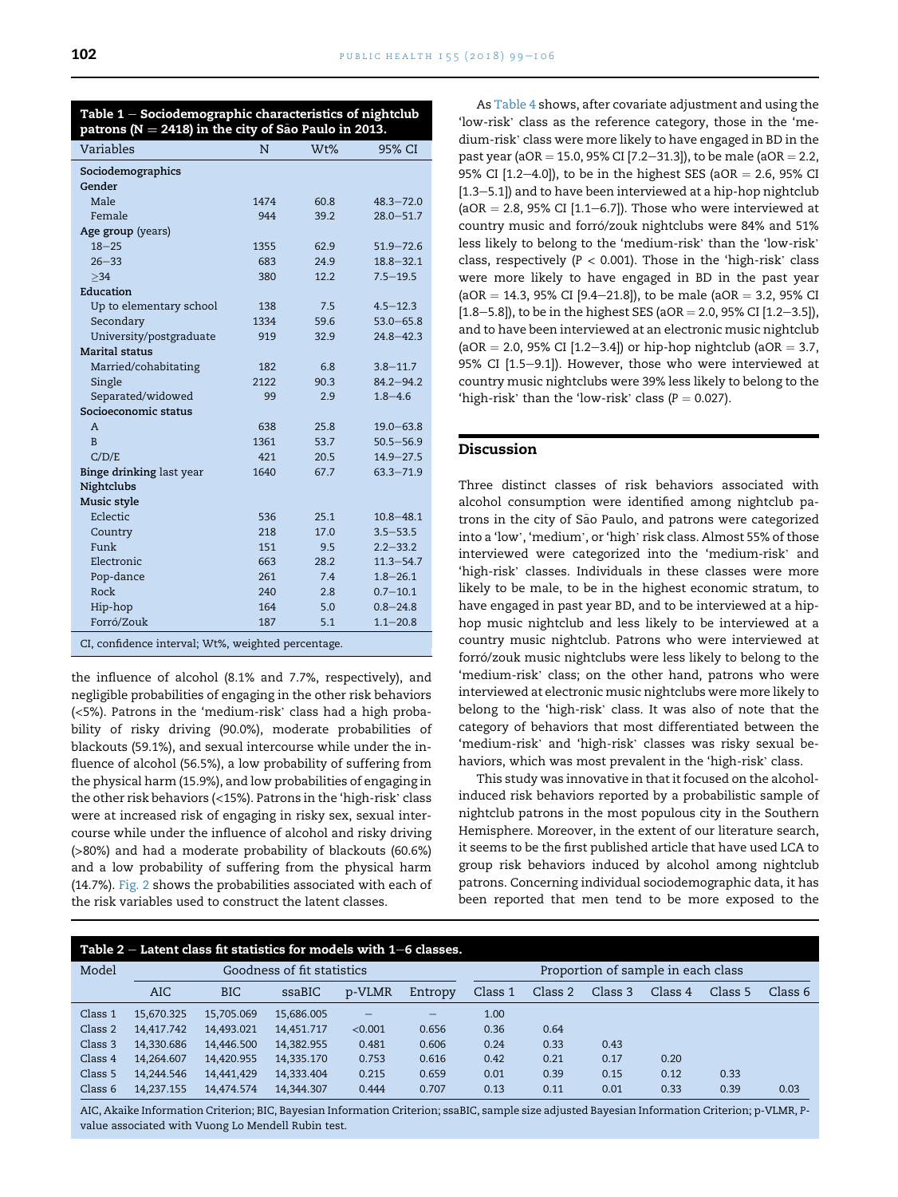<span id="page-3-0"></span>

| Table $1$ – Sociodemographic characteristics of nightclub |  |
|-----------------------------------------------------------|--|
| patrons ( $N = 2418$ ) in the city of São Paulo in 2013.  |  |

| Variables                                               | N    | W <sub>t</sub> % | 95% CI        |
|---------------------------------------------------------|------|------------------|---------------|
| Sociodemographics                                       |      |                  |               |
| Gender                                                  |      |                  |               |
| Male                                                    | 1474 | 60.8             | $48.3 - 72.0$ |
| Female                                                  | 944  | 39.2             | $28.0 - 51.7$ |
| Age group (years)                                       |      |                  |               |
| $18 - 25$                                               | 1355 | 62.9             | $51.9 - 72.6$ |
| $26 - 33$                                               | 683  | 24.9             | $18.8 - 32.1$ |
| $>34$                                                   | 380  | 12.2             | $7.5 - 19.5$  |
| Education                                               |      |                  |               |
| Up to elementary school                                 | 138  | 7.5              | $4.5 - 12.3$  |
| Secondary                                               | 1334 | 59.6             | $53.0 - 65.8$ |
| University/postgraduate                                 | 919  | 32.9             | $24.8 - 42.3$ |
| <b>Marital status</b>                                   |      |                  |               |
| Married/cohabitating                                    | 182  | 6.8              | $3.8 - 11.7$  |
| Single                                                  | 2122 | 90.3             | $84.2 - 94.2$ |
| Separated/widowed                                       | 99   | 2.9              | $1.8 - 4.6$   |
| Socioeconomic status                                    |      |                  |               |
| A                                                       | 638  | 25.8             | $19.0 - 63.8$ |
| $\overline{B}$                                          | 1361 | 53.7             | $50.5 - 56.9$ |
| C/D/E                                                   | 421  | 20.5             | $14.9 - 27.5$ |
| Binge drinking last year                                | 1640 | 67.7             | $63.3 - 71.9$ |
| Nightclubs                                              |      |                  |               |
| Music style                                             |      |                  |               |
| Eclectic                                                | 536  | 25.1             | $10.8 - 48.1$ |
| Country                                                 | 218  | 17.0             | $3.5 - 53.5$  |
| Funk                                                    | 151  | 9.5              | $2.2 - 33.2$  |
| Electronic                                              | 663  | 28.2             | $11.3 - 54.7$ |
| Pop-dance                                               | 261  | 7.4              | $1.8 - 26.1$  |
| Rock                                                    | 240  | 2.8              | $0.7 - 10.1$  |
| Hip-hop                                                 | 164  | 5.0              | $0.8 - 24.8$  |
| Forró/Zouk                                              | 187  | 5.1              | $1.1 - 20.8$  |
| $CI$ confidence interval: $U^{1+0}$ weighted percentage |      |                  |               |

CI, confidence interval; Wt%, weighted percentage

the influence of alcohol (8.1% and 7.7%, respectively), and negligible probabilities of engaging in the other risk behaviors (<5%). Patrons in the 'medium-risk' class had a high probability of risky driving (90.0%), moderate probabilities of blackouts (59.1%), and sexual intercourse while under the influence of alcohol (56.5%), a low probability of suffering from the physical harm (15.9%), and low probabilities of engaging in the other risk behaviors (<15%). Patrons in the 'high-risk' class were at increased risk of engaging in risky sex, sexual intercourse while under the influence of alcohol and risky driving (>80%) and had a moderate probability of blackouts (60.6%) and a low probability of suffering from the physical harm (14.7%). [Fig. 2](#page-5-0) shows the probabilities associated with each of the risk variables used to construct the latent classes.

As [Table 4](#page-5-0) shows, after covariate adjustment and using the As Table 4 shows, after covariate adjustment and using the 'low-risk' class as the reference category, those in the 'me-'low-risk' class as the reference category, those in the 'me-<br>dium-risk' class were more likely to have engaged in BD in the past year (aOR = 15.0, 95% CI [7.2-31.3]), to be male (aOR = 2.2, 95% CI  $[1.2-4.0]$ , to be in the highest SES (aOR = 2.6, 95% CI  $[1.3-5.1]$ ) and to have been interviewed at a hip-hop nightclub (aOR  $=$  2.8, 95% CI [1.1–6.7]). Those who were interviewed at country music and forró/zouk nightclubs were 84% and 51% .<br>country music and forró/zouk nightclubs were 84% and 51%<br>less likely to belong to the 'medium-risk' than the 'low-risk' less likely to belong to the 'medium-risk' than the 'low-risk' class, respectively  $(P < 0.001)$ . Those in the 'high-risk' class were more likely to have engaged in BD in the past year (aOR = 14.3, 95% CI [9.4-21.8]), to be male (aOR = 3.2, 95% CI  $[1.8-5.8]$ , to be in the highest SES (aOR = 2.0, 95% CI  $[1.2-3.5]$ ), and to have been interviewed at an electronic music nightclub  $(aOR = 2.0, 95\% CI [1.2–3.4])$  or hip-hop nightclub (aOR = 3.7, 95% CI [1.5-9.1]). However, those who were interviewed at country music nightclubs were 39% less likely to belong to the 'high-risk' than the 'low-risk' class  $(P = 0.027)$ .

# Discussion

Three distinct classes of risk behaviors associated with alcohol consumption were identified among nightclub patrons in the city of São Paulo, and patrons were categorized<br>into a 'low', 'medium', or 'high' risk class. Almost 55% of those into a 'low', 'medium', or 'high' risk class. Almost 55% of those 'high-risk' classes. Individuals in these classes were more likely to be male, to be in the highest economic stratum, to have engaged in past year BD, and to be interviewed at a hiphop music nightclub and less likely to be interviewed at a country music nightclub. Patrons who were interviewed at forró/zouk music nightclubs were less likely to belong to the 'medium-risk' class; on the other hand, patrons who were interviewed at electronic music nightclubs were more likely to belong to the 'high-risk' class. It was also of note that the category of behaviors that most differentiated between the category of behaviors that most differentiated between the<br>'medium-risk' and 'high-risk' classes was risky sexual be-'medium-risk' and 'high-risk' classes was risky sexual l<br>haviors, which was most prevalent in the 'high-risk' class.

This study was innovative in that it focused on the alcoholinduced risk behaviors reported by a probabilistic sample of nightclub patrons in the most populous city in the Southern Hemisphere. Moreover, in the extent of our literature search, it seems to be the first published article that have used LCA to group risk behaviors induced by alcohol among nightclub patrons. Concerning individual sociodemographic data, it has been reported that men tend to be more exposed to the

|         |            | Table $2$ – Latent class fit statistics for models with $1-6$ classes. |                            |         |                                |                                    |         |         |         |         |         |
|---------|------------|------------------------------------------------------------------------|----------------------------|---------|--------------------------------|------------------------------------|---------|---------|---------|---------|---------|
| Model   |            |                                                                        | Goodness of fit statistics |         |                                | Proportion of sample in each class |         |         |         |         |         |
|         | <b>AIC</b> | <b>BIC</b>                                                             | ssaBIC                     | p-VLMR  | Entropy                        | Class 1                            | Class 2 | Class 3 | Class 4 | Class 5 | Class 6 |
| Class 1 | 15.670.325 | 15,705.069                                                             | 15,686.005                 |         | $\qquad \qquad \longleftarrow$ | 1.00                               |         |         |         |         |         |
| Class 2 | 14.417.742 | 14.493.021                                                             | 14.451.717                 | < 0.001 | 0.656                          | 0.36                               | 0.64    |         |         |         |         |
| Class 3 | 14,330.686 | 14,446.500                                                             | 14,382.955                 | 0.481   | 0.606                          | 0.24                               | 0.33    | 0.43    |         |         |         |
| Class 4 | 14.264.607 | 14.420.955                                                             | 14.335.170                 | 0.753   | 0.616                          | 0.42                               | 0.21    | 0.17    | 0.20    |         |         |
| Class 5 | 14,244.546 | 14,441,429                                                             | 14,333.404                 | 0.215   | 0.659                          | 0.01                               | 0.39    | 0.15    | 0.12    | 0.33    |         |
| Class 6 | 14,237.155 | 14,474.574                                                             | 14,344.307                 | 0.444   | 0.707                          | 0.13                               | 0.11    | 0.01    | 0.33    | 0.39    | 0.03    |

AIC, Akaike Information Criterion; BIC, Bayesian Information Criterion; ssaBIC, sample size adjusted Bayesian Information Criterion; p-VLMR, Pvalue associated with Vuong Lo Mendell Rubin test.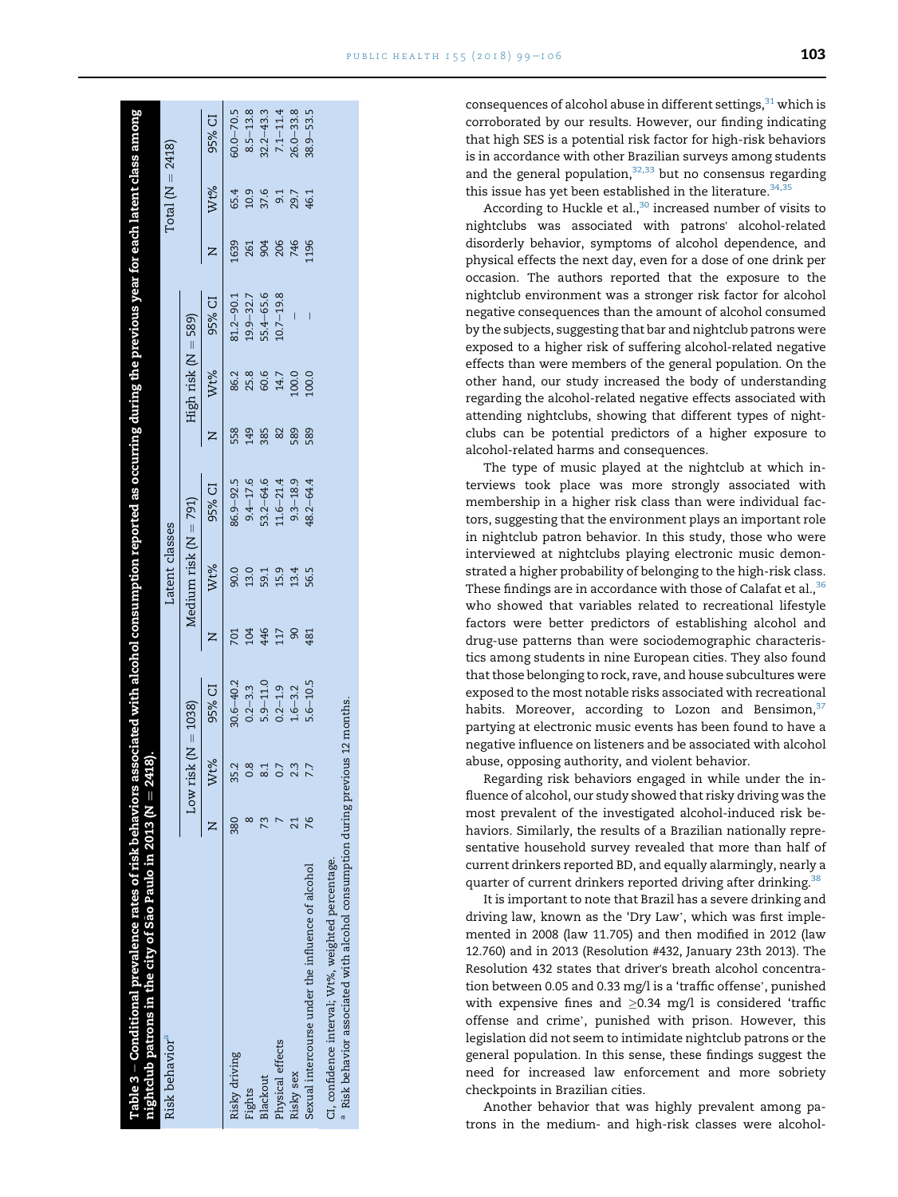| PUBLIC HEALTH $155 (2018) 99 - 106$ |  | 103 |
|-------------------------------------|--|-----|
|-------------------------------------|--|-----|

<span id="page-4-0"></span>

| nightclub patrons in the city of São Paulo in 2013 (N $=$ 2418).<br>Table 3 – Conditional prevalence rates of risk behaviors ; |     |                       |               |     |                       | associated with alcohol consumption reported as occurring during the previous year for each latent class among |     |                     |               |      |                      |               |
|--------------------------------------------------------------------------------------------------------------------------------|-----|-----------------------|---------------|-----|-----------------------|----------------------------------------------------------------------------------------------------------------|-----|---------------------|---------------|------|----------------------|---------------|
| Risk behavior <sup>a</sup>                                                                                                     |     |                       |               |     | Latent classes        |                                                                                                                |     |                     |               |      | Total ( $N = 2418$ ) |               |
|                                                                                                                                |     | Low risk $(N = 1038)$ |               |     | Medium risk (N = 791) |                                                                                                                |     | High risk (N = 589) |               |      |                      |               |
|                                                                                                                                |     | Wt%                   | 95% CI        |     | Wt%                   | 95% CI                                                                                                         |     | Wt%                 | 95% CI        |      | Wt%                  | 95% CI        |
| Risky driving                                                                                                                  | 380 | 35.2                  | $30.6 - 40.2$ |     | 90.0                  | 86.9-92.5                                                                                                      | 558 | 86.2                | $81.2 - 90.1$ | 1639 | 65.4                 | $60.0 - 70.5$ |
| Fights                                                                                                                         |     | 0.8                   | $0.2 - 3.3$   |     | 13.0                  | $9.4 - 17.6$                                                                                                   | 149 | 25.8                | $19.9 - 32.7$ | 261  | 10.9                 | $8.5 - 13.8$  |
| Blackout                                                                                                                       |     | $\approx$             | $5.9 - 11.0$  | 446 | 59.1                  | $53.2 - 64.6$                                                                                                  | 385 | 60.6                | 55.4-65.6     | 904  | 37.6                 | $2.2 - 43.3$  |
| Physical effects                                                                                                               |     | 0.7                   | $0.2 - 1.9$   | 117 | 15.9                  | $11.6 - 21.4$                                                                                                  | 82  | 14.7                | $10.7 - 19.8$ | 206  |                      | $7.1 - 11.4$  |
| Risky sex                                                                                                                      |     | 2.3                   | $1.6 - 3.2$   |     | 13.4                  | $9.3 - 18.9$                                                                                                   | 589 | 100.0               |               | 746  | 29.7                 | $26.0 - 33.8$ |
| Sexual intercourse under the influence of alcohol                                                                              | 76  |                       | $5.6 - 10.5$  | 481 | 56.5                  | $48.2 - 64.4$                                                                                                  | 589 | 100.0               |               | 1196 | 46.1                 | $38.9 - 53.5$ |
| CI, confidence interval; Wt%, weighted percentage.                                                                             |     |                       |               |     |                       |                                                                                                                |     |                     |               |      |                      |               |
| $^{\rm a}$ Risk behavior associated with alcohol consumption during previous 12 months.                                        |     |                       |               |     |                       |                                                                                                                |     |                     |               |      |                      |               |

consequences of alcohol abuse in different settings,  $31$  which is corroborated by our results. However, our finding indicating that high SES is a potential risk factor for high-risk behaviors is in accordance with other Brazilian surveys among students and the general population, $32,33$  but no consensus regarding this issue has yet been established in the literature.  $34,35$ 

According to Huckle et al., $30$  increased number of visits to nightclubs was associated with patrons' alcohol-related disorderly behavior, symptoms of alcohol dependence, and physical effects the next day, even for a dose of one drink per occasion. The authors reported that the exposure to the nightclub environment was a stronger risk factor for alcohol negative consequences than the amount of alcohol consumed by the subjects, suggesting that bar and nightclub patrons were exposed to a higher risk of suffering alcohol-related negative effects than were members of the general population. On the other hand, our study increased the body of understanding regarding the alcohol-related negative effects associated with attending nightclubs, showing that different types of nightclubs can be potential predictors of a higher exposure to alcohol-related harms and consequences.

The type of music played at the nightclub at which interviews took place was more strongly associated with membership in a higher risk class than were individual factors, suggesting that the environment plays an important role in nightclub patron behavior. In this study, those who were interviewed at nightclubs playing electronic music demonstrated a higher probability of belonging to the high-risk class. These findings are in accordance with those of Calafat et al.,<sup>36</sup> who showed that variables related to recreational lifestyle factors were better predictors of establishing alcohol and drug-use patterns than were sociodemographic characteristics among students in nine European cities. They also found that those belonging to rock, rave, and house subcultures were exposed to the most notable risks associated with recreational habits. Moreover, according to Lozon and Bensimon,  $37$ partying at electronic music events has been found to have a negative influence on listeners and be associated with alcohol abuse, opposing authority, and violent behavior.

Regarding risk behaviors engaged in while under the influence of alcohol, our study showed that risky driving was the most prevalent of the investigated alcohol-induced risk behaviors. Similarly, the results of a Brazilian nationally representative household survey revealed that more than half of current drinkers reported BD, and equally alarmingly, nearly a quarter of current drinkers reported driving after drinking.<sup>38</sup>

It is important to note that Brazil has a severe drinking and driving law, known as the 'Dry Law', which was first implemented in 2008 (law 11.705) and then modified in 2012 (law 12.760) and in 2013 (Resolution #432, January 23th 2013). The Resolution 432 states that driver's breath alcohol concentration between 0.05 and 0.33 mg/l is a 'traffic offense', punished with expensive fines and  $\geq$ 0.34 mg/l is considered 'traffic<br>offense and crime', punished with prison. However, this legislation did not seem to intimidate nightclub patrons or the general population. In this sense, these findings suggest the need for increased law enforcement and more sobriety checkpoints in Brazilian cities.

Another behavior that was highly prevalent among patrons in the medium- and high-risk classes were alcohol-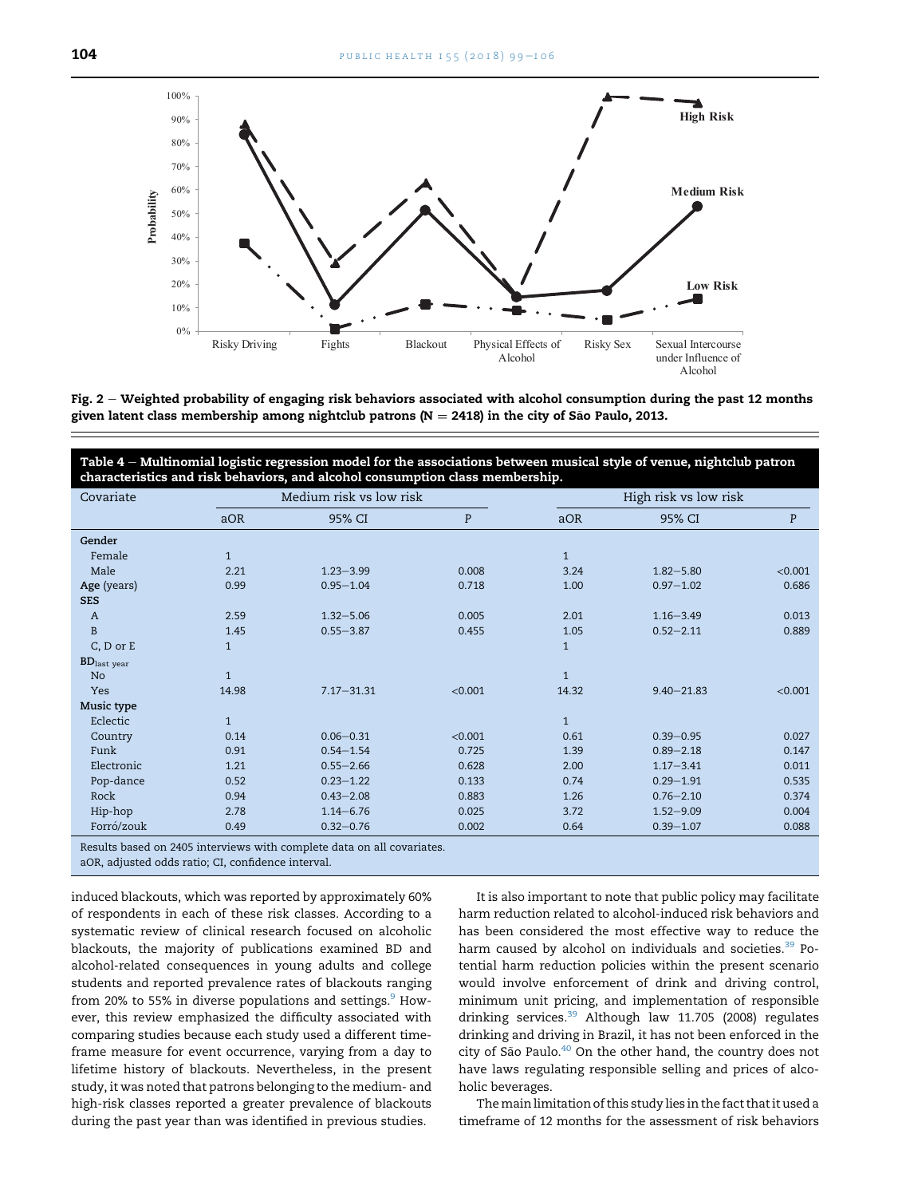<span id="page-5-0"></span>

Fig. 2 - Weighted probability of engaging risk behaviors associated with alcohol consumption during the past 12 months given latent class membership among nightclub patrons ( $N = 2418$ ) in the city of São Paulo, 2013.

Table  $4$  – Multinomial logistic regression model for the associations between musical style of venue, nightclub patron characteristics and risk behaviors, and alcohol consumption class membership.

| Covariate                 |              | Medium risk vs low risk                                               |         |              | High risk vs low risk |         |
|---------------------------|--------------|-----------------------------------------------------------------------|---------|--------------|-----------------------|---------|
|                           | aOR          | 95% CI                                                                | P       | aOR          | 95% CI                | P       |
| Gender                    |              |                                                                       |         |              |                       |         |
| Female                    | $\mathbf{1}$ |                                                                       |         | $\mathbf{1}$ |                       |         |
| Male                      | 2.21         | $1.23 - 3.99$                                                         | 0.008   | 3.24         | $1.82 - 5.80$         | < 0.001 |
| Age (years)               | 0.99         | $0.95 - 1.04$                                                         | 0.718   | 1.00         | $0.97 - 1.02$         | 0.686   |
| <b>SES</b>                |              |                                                                       |         |              |                       |         |
| $\boldsymbol{A}$          | 2.59         | $1.32 - 5.06$                                                         | 0.005   | 2.01         | $1.16 - 3.49$         | 0.013   |
| $\, {\bf B}$              | 1.45         | $0.55 - 3.87$                                                         | 0.455   | 1.05         | $0.52 - 2.11$         | 0.889   |
| $C, D$ or $E$             | $\mathbf{1}$ |                                                                       |         | $\mathbf{1}$ |                       |         |
| $BD$ <sub>last year</sub> |              |                                                                       |         |              |                       |         |
| No                        | $\mathbf{1}$ |                                                                       |         | $\mathbf{1}$ |                       |         |
| Yes                       | 14.98        | $7.17 - 31.31$                                                        | < 0.001 | 14.32        | $9.40 - 21.83$        | < 0.001 |
| Music type                |              |                                                                       |         |              |                       |         |
| Eclectic                  | $\mathbf{1}$ |                                                                       |         | $\mathbf{1}$ |                       |         |
| Country                   | 0.14         | $0.06 - 0.31$                                                         | < 0.001 | 0.61         | $0.39 - 0.95$         | 0.027   |
| Funk                      | 0.91         | $0.54 - 1.54$                                                         | 0.725   | 1.39         | $0.89 - 2.18$         | 0.147   |
| Electronic                | 1.21         | $0.55 - 2.66$                                                         | 0.628   | 2.00         | $1.17 - 3.41$         | 0.011   |
| Pop-dance                 | 0.52         | $0.23 - 1.22$                                                         | 0.133   | 0.74         | $0.29 - 1.91$         | 0.535   |
| Rock                      | 0.94         | $0.43 - 2.08$                                                         | 0.883   | 1.26         | $0.76 - 2.10$         | 0.374   |
| Hip-hop                   | 2.78         | $1.14 - 6.76$                                                         | 0.025   | 3.72         | $1.52 - 9.09$         | 0.004   |
| Forró/zouk                | 0.49         | $0.32 - 0.76$                                                         | 0.002   | 0.64         | $0.39 - 1.07$         | 0.088   |
|                           |              | Recults based on 2405 interviews with complete data on all covariates |         |              |                       |         |

Results based on 2405 interviews with complete data on all covariates.

aOR, adjusted odds ratio; CI, confidence interval.

induced blackouts, which was reported by approximately 60% of respondents in each of these risk classes. According to a systematic review of clinical research focused on alcoholic blackouts, the majority of publications examined BD and alcohol-related consequences in young adults and college students and reported prevalence rates of blackouts ranging from 20% to 55% in diverse populations and settings.<sup>9</sup> However, this review emphasized the difficulty associated with comparing studies because each study used a different timeframe measure for event occurrence, varying from a day to lifetime history of blackouts. Nevertheless, in the present study, it was noted that patrons belonging to the medium- and high-risk classes reported a greater prevalence of blackouts during the past year than was identified in previous studies.

It is also important to note that public policy may facilitate harm reduction related to alcohol-induced risk behaviors and has been considered the most effective way to reduce the harm caused by alcohol on individuals and societies.<sup>[39](#page-7-0)</sup> Potential harm reduction policies within the present scenario would involve enforcement of drink and driving control, minimum unit pricing, and implementation of responsible drinking services.<sup>39</sup> Although law 11.705 (2008) regulates drinking and driving in Brazil, it has not been enforced in the city of São Paulo.<sup>[40](#page-7-0)</sup> On the other hand, the country does not have laws regulating responsible selling and prices of alcoholic beverages.

The main limitation of this study lies in the fact that it used a timeframe of 12 months for the assessment of risk behaviors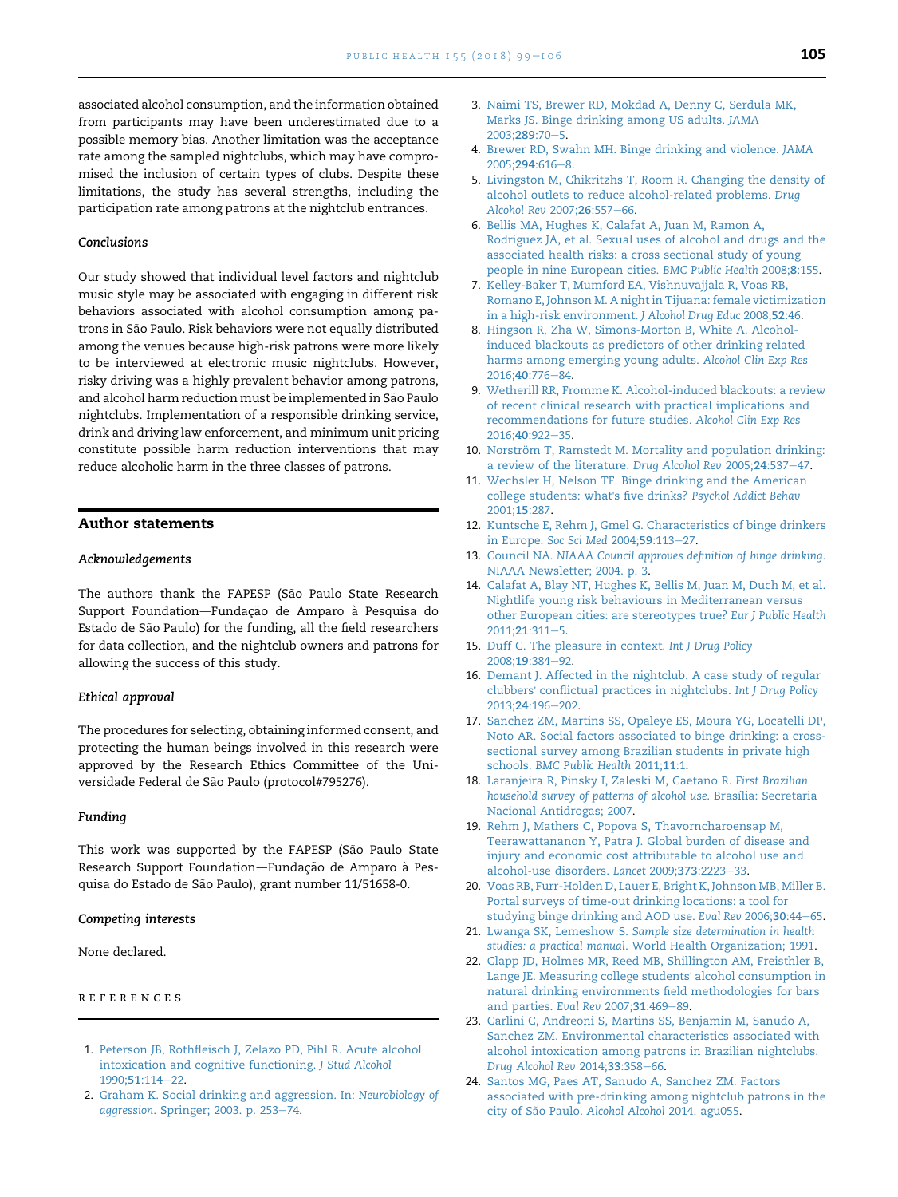<span id="page-6-0"></span>associated alcohol consumption, and the information obtained from participants may have been underestimated due to a possible memory bias. Another limitation was the acceptance rate among the sampled nightclubs, which may have compromised the inclusion of certain types of clubs. Despite these limitations, the study has several strengths, including the participation rate among patrons at the nightclub entrances.

#### Conclusions

Our study showed that individual level factors and nightclub music style may be associated with engaging in different risk behaviors associated with alcohol consumption among patrons in São Paulo. Risk behaviors were not equally distributed among the venues because high-risk patrons were more likely to be interviewed at electronic music nightclubs. However, risky driving was a highly prevalent behavior among patrons, and alcohol harm reduction must be implemented in São Paulo nightclubs. Implementation of a responsible drinking service, drink and driving law enforcement, and minimum unit pricing constitute possible harm reduction interventions that may reduce alcoholic harm in the three classes of patrons.

# Author statements

#### Acknowledgements

The authors thank the FAPESP (São Paulo State Research Support Foundation-Fundação de Amparo à Pesquisa do Estado de São Paulo) for the funding, all the field researchers for data collection, and the nightclub owners and patrons for allowing the success of this study.

#### Ethical approval

The procedures for selecting, obtaining informed consent, and protecting the human beings involved in this research were approved by the Research Ethics Committee of the Universidade Federal de São Paulo (protocol#795276).

#### Funding

This work was supported by the FAPESP (São Paulo State Research Support Foundation-Fundação de Amparo à Pesquisa do Estado de São Paulo), grant number 11/51658-0.

#### Competing interests

None declared.

#### references

- 1. [Peterson JB, Rothfleisch J, Zelazo PD, Pihl R. Acute alcohol](http://refhub.elsevier.com/S0033-3506(17)30394-3/sref1) [intoxication and cognitive functioning.](http://refhub.elsevier.com/S0033-3506(17)30394-3/sref1) J Stud Alcohol [1990;](http://refhub.elsevier.com/S0033-3506(17)30394-3/sref1)51:114-[22.](http://refhub.elsevier.com/S0033-3506(17)30394-3/sref1)
- 2. [Graham K. Social drinking and aggression. In:](http://refhub.elsevier.com/S0033-3506(17)30394-3/sref2) Neurobiology of aggression[. Springer; 2003. p. 253](http://refhub.elsevier.com/S0033-3506(17)30394-3/sref2)-[74.](http://refhub.elsevier.com/S0033-3506(17)30394-3/sref2)
- 3. [Naimi TS, Brewer RD, Mokdad A, Denny C, Serdula MK,](http://refhub.elsevier.com/S0033-3506(17)30394-3/sref3) [Marks JS. Binge drinking among US adults.](http://refhub.elsevier.com/S0033-3506(17)30394-3/sref3) JAMA [2003;](http://refhub.elsevier.com/S0033-3506(17)30394-3/sref3)289:70-[5](http://refhub.elsevier.com/S0033-3506(17)30394-3/sref3).
- 4. [Brewer RD, Swahn MH. Binge drinking and violence.](http://refhub.elsevier.com/S0033-3506(17)30394-3/sref4) JAMA [2005;](http://refhub.elsevier.com/S0033-3506(17)30394-3/sref4)294:616-[8](http://refhub.elsevier.com/S0033-3506(17)30394-3/sref4).
- 5. [Livingston M, Chikritzhs T, Room R. Changing the density of](http://refhub.elsevier.com/S0033-3506(17)30394-3/sref5) [alcohol outlets to reduce alcohol-related problems.](http://refhub.elsevier.com/S0033-3506(17)30394-3/sref5) Drug [Alcohol Rev](http://refhub.elsevier.com/S0033-3506(17)30394-3/sref5) 2007;26:557-[66.](http://refhub.elsevier.com/S0033-3506(17)30394-3/sref5)
- 6. [Bellis MA, Hughes K, Calafat A, Juan M, Ramon A,](http://refhub.elsevier.com/S0033-3506(17)30394-3/sref6) [Rodriguez JA, et al. Sexual uses of alcohol and drugs and the](http://refhub.elsevier.com/S0033-3506(17)30394-3/sref6) [associated health risks: a cross sectional study of young](http://refhub.elsevier.com/S0033-3506(17)30394-3/sref6) [people in nine European cities.](http://refhub.elsevier.com/S0033-3506(17)30394-3/sref6) BMC Public Health 2008;8:155.
- 7. [Kelley-Baker T, Mumford EA, Vishnuvajjala R, Voas RB,](http://refhub.elsevier.com/S0033-3506(17)30394-3/sref7) [Romano E, Johnson M. A night in Tijuana: female victimization](http://refhub.elsevier.com/S0033-3506(17)30394-3/sref7) [in a high-risk environment.](http://refhub.elsevier.com/S0033-3506(17)30394-3/sref7) J Alcohol Drug Educ 2008;52:46.
- 8. [Hingson R, Zha W, Simons-Morton B, White A. Alcohol](http://refhub.elsevier.com/S0033-3506(17)30394-3/sref8)[induced blackouts as predictors of other drinking related](http://refhub.elsevier.com/S0033-3506(17)30394-3/sref8) [harms among emerging young adults.](http://refhub.elsevier.com/S0033-3506(17)30394-3/sref8) Alcohol Clin Exp Res [2016;](http://refhub.elsevier.com/S0033-3506(17)30394-3/sref8)40:776-[84.](http://refhub.elsevier.com/S0033-3506(17)30394-3/sref8)
- 9. [Wetherill RR, Fromme K. Alcohol-induced blackouts: a review](http://refhub.elsevier.com/S0033-3506(17)30394-3/sref9) [of recent clinical research with practical implications and](http://refhub.elsevier.com/S0033-3506(17)30394-3/sref9) [recommendations for future studies.](http://refhub.elsevier.com/S0033-3506(17)30394-3/sref9) Alcohol Clin Exp Res 2016:40:922-[35.](http://refhub.elsevier.com/S0033-3506(17)30394-3/sref9)
- 10. Norström T, Ramstedt M. Mortality and population drinking: [a review of the literature.](http://refhub.elsevier.com/S0033-3506(17)30394-3/sref10) Drug Alcohol Rev 2005;24:537-[47](http://refhub.elsevier.com/S0033-3506(17)30394-3/sref10).
- 11. [Wechsler H, Nelson TF. Binge drinking and the American](http://refhub.elsevier.com/S0033-3506(17)30394-3/sref11) [college students: what](http://refhub.elsevier.com/S0033-3506(17)30394-3/sref11)'s five drinks? Psychol Addict Behav [2001;](http://refhub.elsevier.com/S0033-3506(17)30394-3/sref11)15:287.
- 12. [Kuntsche E, Rehm J, Gmel G. Characteristics of binge drinkers](http://refhub.elsevier.com/S0033-3506(17)30394-3/sref12) in Europe. [Soc Sci Med](http://refhub.elsevier.com/S0033-3506(17)30394-3/sref12) 2004;59:113-[27](http://refhub.elsevier.com/S0033-3506(17)30394-3/sref12).
- 13. Council NA. [NIAAA Council approves definition of binge drinking](http://refhub.elsevier.com/S0033-3506(17)30394-3/sref13). [NIAAA Newsletter; 2004. p. 3.](http://refhub.elsevier.com/S0033-3506(17)30394-3/sref13)
- 14. [Calafat A, Blay NT, Hughes K, Bellis M, Juan M, Duch M, et al.](http://refhub.elsevier.com/S0033-3506(17)30394-3/sref14) [Nightlife young risk behaviours in Mediterranean versus](http://refhub.elsevier.com/S0033-3506(17)30394-3/sref14) [other European cities: are stereotypes true?](http://refhub.elsevier.com/S0033-3506(17)30394-3/sref14) Eur J Public Health [2011;](http://refhub.elsevier.com/S0033-3506(17)30394-3/sref14)21:311-[5.](http://refhub.elsevier.com/S0033-3506(17)30394-3/sref14)
- 15. [Duff C. The pleasure in context.](http://refhub.elsevier.com/S0033-3506(17)30394-3/sref15) Int J Drug Policy [2008;](http://refhub.elsevier.com/S0033-3506(17)30394-3/sref15)19:384-[92](http://refhub.elsevier.com/S0033-3506(17)30394-3/sref15).
- 16. [Demant J. Affected in the nightclub. A case study of regular](http://refhub.elsevier.com/S0033-3506(17)30394-3/sref16) clubbers' [conflictual practices in nightclubs.](http://refhub.elsevier.com/S0033-3506(17)30394-3/sref16) Int J Drug Policy [2013;](http://refhub.elsevier.com/S0033-3506(17)30394-3/sref16)24:196-[202](http://refhub.elsevier.com/S0033-3506(17)30394-3/sref16).
- 17. [Sanchez ZM, Martins SS, Opaleye ES, Moura YG, Locatelli DP,](http://refhub.elsevier.com/S0033-3506(17)30394-3/sref17) [Noto AR. Social factors associated to binge drinking: a cross](http://refhub.elsevier.com/S0033-3506(17)30394-3/sref17)[sectional survey among Brazilian students in private high](http://refhub.elsevier.com/S0033-3506(17)30394-3/sref17) schools. [BMC Public Health](http://refhub.elsevier.com/S0033-3506(17)30394-3/sref17) 2011;11:1.
- 18. [Laranjeira R, Pinsky I, Zaleski M, Caetano R.](http://refhub.elsevier.com/S0033-3506(17)30394-3/sref18) First Brazilian [household survey of patterns of alcohol use](http://refhub.elsevier.com/S0033-3506(17)30394-3/sref18). Brasília: Secretaria [Nacional Antidrogas; 2007.](http://refhub.elsevier.com/S0033-3506(17)30394-3/sref18)
- 19. [Rehm J, Mathers C, Popova S, Thavorncharoensap M,](http://refhub.elsevier.com/S0033-3506(17)30394-3/sref19) [Teerawattananon Y, Patra J. Global burden of disease and](http://refhub.elsevier.com/S0033-3506(17)30394-3/sref19) [injury and economic cost attributable to alcohol use and](http://refhub.elsevier.com/S0033-3506(17)30394-3/sref19) [alcohol-use disorders.](http://refhub.elsevier.com/S0033-3506(17)30394-3/sref19) Lancet 2009;373:2223-[33](http://refhub.elsevier.com/S0033-3506(17)30394-3/sref19).
- 20. [Voas RB, Furr-Holden D, Lauer E, Bright K, Johnson MB, Miller B.](http://refhub.elsevier.com/S0033-3506(17)30394-3/sref20) [Portal surveys of time-out drinking locations: a tool for](http://refhub.elsevier.com/S0033-3506(17)30394-3/sref20) [studying binge drinking and AOD use.](http://refhub.elsevier.com/S0033-3506(17)30394-3/sref20) Eval Rev 2006;30:44-[65.](http://refhub.elsevier.com/S0033-3506(17)30394-3/sref20)
- 21. Lwanga SK, Lemeshow S. [Sample size determination in health](http://refhub.elsevier.com/S0033-3506(17)30394-3/sref21) studies: a practical manual[. World Health Organization; 1991](http://refhub.elsevier.com/S0033-3506(17)30394-3/sref21).
- 22. [Clapp JD, Holmes MR, Reed MB, Shillington AM, Freisthler B,](http://refhub.elsevier.com/S0033-3506(17)30394-3/sref22) [Lange JE. Measuring college students](http://refhub.elsevier.com/S0033-3506(17)30394-3/sref22)' alcohol consumption in [natural drinking environments field methodologies for bars](http://refhub.elsevier.com/S0033-3506(17)30394-3/sref22) [and parties.](http://refhub.elsevier.com/S0033-3506(17)30394-3/sref22) Eval Rev 2007;31:469-[89](http://refhub.elsevier.com/S0033-3506(17)30394-3/sref22).
- 23. [Carlini C, Andreoni S, Martins SS, Benjamin M, Sanudo A,](http://refhub.elsevier.com/S0033-3506(17)30394-3/sref23) [Sanchez ZM. Environmental characteristics associated with](http://refhub.elsevier.com/S0033-3506(17)30394-3/sref23) [alcohol intoxication among patrons in Brazilian nightclubs.](http://refhub.elsevier.com/S0033-3506(17)30394-3/sref23) [Drug Alcohol Rev](http://refhub.elsevier.com/S0033-3506(17)30394-3/sref23) 2014;33:358-[66](http://refhub.elsevier.com/S0033-3506(17)30394-3/sref23).
- 24. [Santos MG, Paes AT, Sanudo A, Sanchez ZM. Factors](http://refhub.elsevier.com/S0033-3506(17)30394-3/sref24) [associated with pre-drinking among nightclub patrons in the](http://refhub.elsevier.com/S0033-3506(17)30394-3/sref24) [city of S](http://refhub.elsevier.com/S0033-3506(17)30394-3/sref24)ão Paulo. [Alcohol Alcohol](http://refhub.elsevier.com/S0033-3506(17)30394-3/sref24) 2014. agu055.